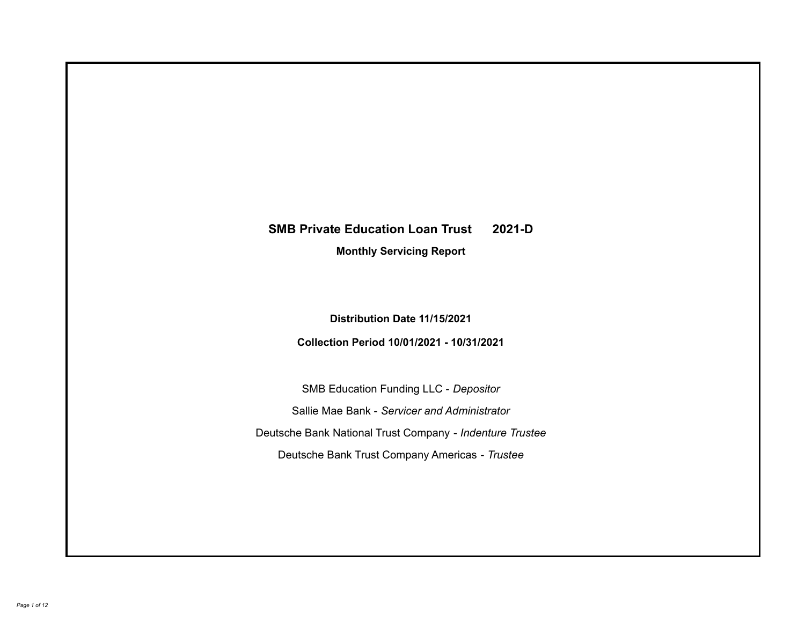# **SMB Private Education Loan Trust 2021-D**

**Monthly Servicing Report**

**Distribution Date 11/15/2021**

**Collection Period 10/01/2021 - 10/31/2021**

SMB Education Funding LLC - *Depositor* Sallie Mae Bank - *Servicer and Administrator* Deutsche Bank National Trust Company - *Indenture Trustee* Deutsche Bank Trust Company Americas - *Trustee*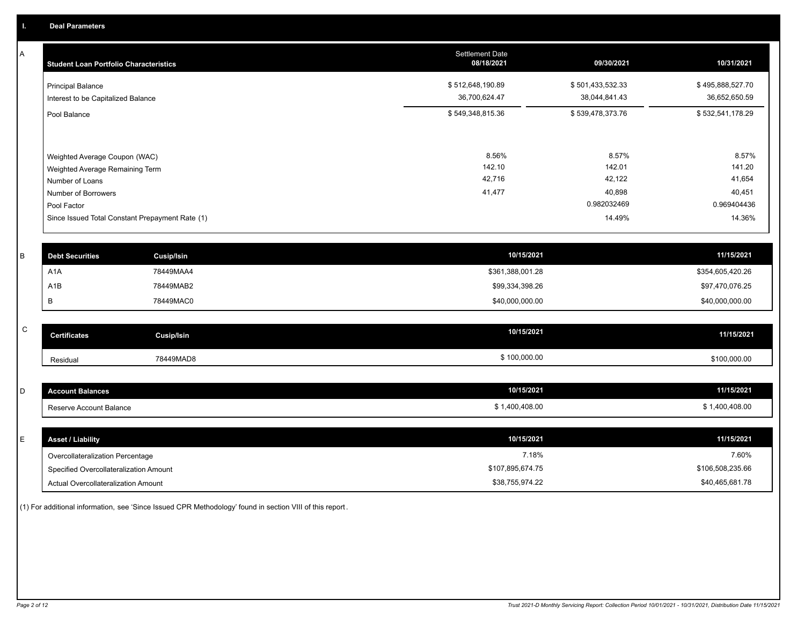A

| <b>Student Loan Portfolio Characteristics</b>                  | <b>Settlement Date</b><br>08/18/2021 | 09/30/2021                        | 10/31/2021                        |
|----------------------------------------------------------------|--------------------------------------|-----------------------------------|-----------------------------------|
| <b>Principal Balance</b><br>Interest to be Capitalized Balance | \$512,648,190.89<br>36,700,624.47    | \$501,433,532.33<br>38,044,841.43 | \$495,888,527.70<br>36,652,650.59 |
| Pool Balance                                                   | \$549,348,815.36                     | \$539,478,373.76                  | \$532,541,178.29                  |
| Weighted Average Coupon (WAC)                                  | 8.56%                                | 8.57%                             | 8.57%                             |
| Weighted Average Remaining Term                                | 142.10<br>42,716                     | 142.01<br>42,122                  | 141.20<br>41,654                  |
| Number of Loans                                                | 41,477                               | 40,898                            | 40,451                            |
| Number of Borrowers<br>Pool Factor                             |                                      | 0.982032469                       | 0.969404436                       |
| Since Issued Total Constant Prepayment Rate (1)                |                                      | 14.49%                            | 14.36%                            |

| <b>Debt Securities</b> | Cusip/Isin | 10/15/2021       | 11/15/2021       |
|------------------------|------------|------------------|------------------|
| A1A                    | 78449MAA4  | \$361,388,001.28 | \$354,605,420.26 |
| A <sub>1</sub> B       | 78449MAB2  | \$99,334,398.26  | \$97,470,076.25  |
|                        | 78449MAC0  | \$40,000,000.00  | \$40,000,000.00  |

| $\sim$<br>$\mathbf{\mathbf{\mathsf{\omega}}}$ | <b>Certificates</b> | Cusip/Isin | 10/15/2021   | 11/15/2021   |
|-----------------------------------------------|---------------------|------------|--------------|--------------|
|                                               | Residual            | 78449MAD8  | \$100,000.00 | \$100,000.00 |

| <b>Account Balances</b> | 10/15/2021                                   | 11/15/2021  |
|-------------------------|----------------------------------------------|-------------|
| Reserve Account Balance | J0.408.00<br>$\overline{10}$<br>$\mathbf{u}$ | ,400,408.00 |

| ᄂ | <b>Asset / Liability</b>               | 10/15/2021       | 11/15/2021       |
|---|----------------------------------------|------------------|------------------|
|   | Overcollateralization Percentage       | 7.18%            | 7.60%            |
|   | Specified Overcollateralization Amount | \$107,895,674.75 | \$106,508,235.66 |
|   | Actual Overcollateralization Amount    | \$38,755,974.22  | \$40,465,681.78  |

(1) For additional information, see 'Since Issued CPR Methodology' found in section VIII of this report .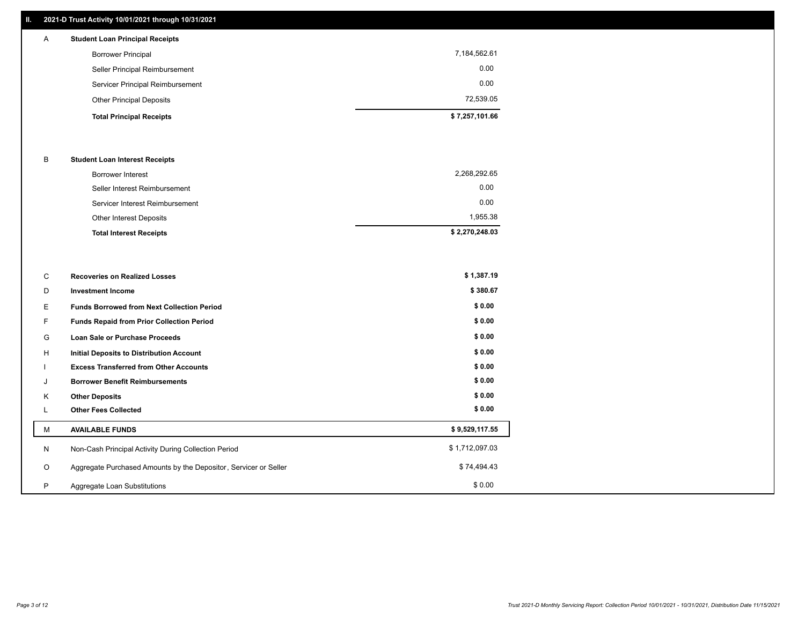## **II. 2021-D Trust Activity 10/01/2021 through 10/31/2021**

## A **Student Loan Principal Receipts**

| 0.00<br>72,539.05 |
|-------------------|
|                   |
|                   |
| 0.00              |
| 7,184,562.61      |
|                   |

#### B **Student Loan Interest Receipts**

| <b>Total Interest Receipts</b>  | \$2,270,248.03 |
|---------------------------------|----------------|
| Other Interest Deposits         | 1,955.38       |
| Servicer Interest Reimbursement | 0.00           |
| Seller Interest Reimbursement   | 0.00           |
| Borrower Interest               | 2,268,292.65   |

| С       | <b>Recoveries on Realized Losses</b>                             | \$1,387.19     |
|---------|------------------------------------------------------------------|----------------|
| D       | <b>Investment Income</b>                                         | \$380.67       |
| E.      | <b>Funds Borrowed from Next Collection Period</b>                | \$0.00         |
| F.      | <b>Funds Repaid from Prior Collection Period</b>                 | \$0.00         |
| G       | Loan Sale or Purchase Proceeds                                   | \$0.00         |
| H       | Initial Deposits to Distribution Account                         | \$0.00         |
|         | <b>Excess Transferred from Other Accounts</b>                    | \$0.00         |
| J       | <b>Borrower Benefit Reimbursements</b>                           | \$0.00         |
| K       | <b>Other Deposits</b>                                            | \$0.00         |
|         | <b>Other Fees Collected</b>                                      | \$0.00         |
| м       | <b>AVAILABLE FUNDS</b>                                           | \$9,529,117.55 |
| N       | Non-Cash Principal Activity During Collection Period             | \$1,712,097.03 |
| $\circ$ | Aggregate Purchased Amounts by the Depositor, Servicer or Seller | \$74,494.43    |
| P       | Aggregate Loan Substitutions                                     | \$0.00         |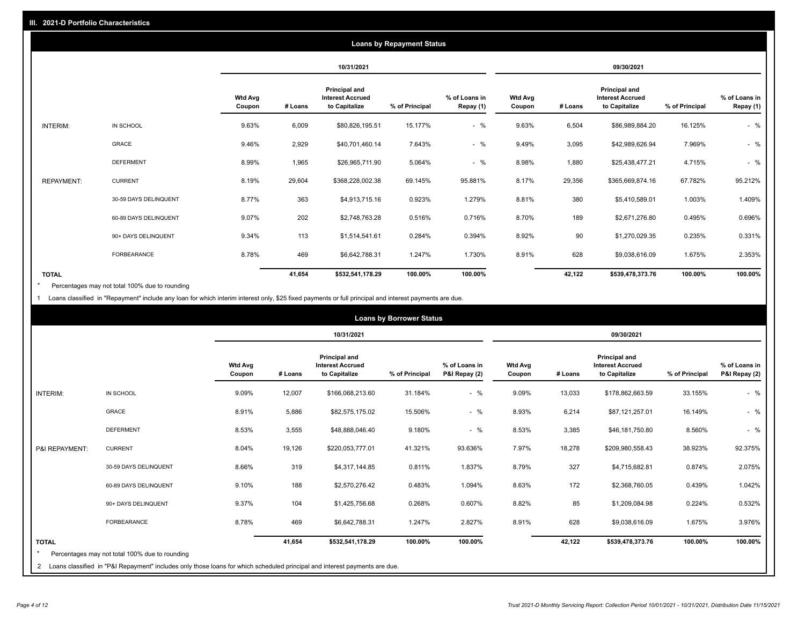|                   |                       |                          |         |                                                           | <b>Loans by Repayment Status</b> |                            |                          |         |                                                           |                |                            |
|-------------------|-----------------------|--------------------------|---------|-----------------------------------------------------------|----------------------------------|----------------------------|--------------------------|---------|-----------------------------------------------------------|----------------|----------------------------|
|                   |                       |                          |         | 10/31/2021                                                |                                  |                            |                          |         | 09/30/2021                                                |                |                            |
|                   |                       | <b>Wtd Avg</b><br>Coupon | # Loans | Principal and<br><b>Interest Accrued</b><br>to Capitalize | % of Principal                   | % of Loans in<br>Repay (1) | <b>Wtd Avg</b><br>Coupon | # Loans | Principal and<br><b>Interest Accrued</b><br>to Capitalize | % of Principal | % of Loans in<br>Repay (1) |
| INTERIM:          | IN SCHOOL             | 9.63%                    | 6,009   | \$80,826,195.51                                           | 15.177%                          | $-$ %                      | 9.63%                    | 6,504   | \$86,989,884.20                                           | 16.125%        | $-$ %                      |
|                   | GRACE                 | 9.46%                    | 2,929   | \$40,701,460.14                                           | 7.643%                           | $-$ %                      | 9.49%                    | 3,095   | \$42,989,626.94                                           | 7.969%         | $-$ %                      |
|                   | <b>DEFERMENT</b>      | 8.99%                    | 1,965   | \$26,965,711.90                                           | 5.064%                           | $-$ %                      | 8.98%                    | 1,880   | \$25,438,477.21                                           | 4.715%         | $-$ %                      |
| <b>REPAYMENT:</b> | <b>CURRENT</b>        | 8.19%                    | 29,604  | \$368,228,002.38                                          | 69.145%                          | 95.881%                    | 8.17%                    | 29,356  | \$365,669,874.16                                          | 67.782%        | 95.212%                    |
|                   | 30-59 DAYS DELINQUENT | 8.77%                    | 363     | \$4,913,715.16                                            | 0.923%                           | 1.279%                     | 8.81%                    | 380     | \$5,410,589.01                                            | 1.003%         | 1.409%                     |
|                   | 60-89 DAYS DELINQUENT | 9.07%                    | 202     | \$2,748,763.28                                            | 0.516%                           | 0.716%                     | 8.70%                    | 189     | \$2,671,276.80                                            | 0.495%         | 0.696%                     |
|                   | 90+ DAYS DELINQUENT   | 9.34%                    | 113     | \$1,514,541.61                                            | 0.284%                           | 0.394%                     | 8.92%                    | 90      | \$1,270,029.35                                            | 0.235%         | 0.331%                     |
|                   | FORBEARANCE           | 8.78%                    | 469     | \$6,642,788.31                                            | 1.247%                           | 1.730%                     | 8.91%                    | 628     | \$9,038,616.09                                            | 1.675%         | 2.353%                     |
| <b>TOTAL</b>      |                       |                          | 41,654  | \$532,541,178.29                                          | 100.00%                          | 100.00%                    |                          | 42,122  | \$539,478,373.76                                          | 100.00%        | 100.00%                    |

Percentages may not total 100% due to rounding \*

1 Loans classified in "Repayment" include any loan for which interim interest only, \$25 fixed payments or full principal and interest payments are due.

|                 |                                                                                                                              |                          |            |                                                                  | <b>Loans by Borrower Status</b> |                                |                          |         |                                                                  |                |                                |
|-----------------|------------------------------------------------------------------------------------------------------------------------------|--------------------------|------------|------------------------------------------------------------------|---------------------------------|--------------------------------|--------------------------|---------|------------------------------------------------------------------|----------------|--------------------------------|
|                 |                                                                                                                              |                          | 10/31/2021 |                                                                  |                                 |                                | 09/30/2021               |         |                                                                  |                |                                |
|                 |                                                                                                                              | <b>Wtd Avg</b><br>Coupon | # Loans    | <b>Principal and</b><br><b>Interest Accrued</b><br>to Capitalize | % of Principal                  | % of Loans in<br>P&I Repay (2) | <b>Wtd Avg</b><br>Coupon | # Loans | <b>Principal and</b><br><b>Interest Accrued</b><br>to Capitalize | % of Principal | % of Loans in<br>P&I Repay (2) |
| <b>INTERIM:</b> | IN SCHOOL                                                                                                                    | 9.09%                    | 12,007     | \$166,068,213.60                                                 | 31.184%                         | $-$ %                          | 9.09%                    | 13,033  | \$178,862,663.59                                                 | 33.155%        | $-$ %                          |
|                 | <b>GRACE</b>                                                                                                                 | 8.91%                    | 5,886      | \$82,575,175.02                                                  | 15.506%                         | $-$ %                          | 8.93%                    | 6,214   | \$87,121,257.01                                                  | 16.149%        | $-$ %                          |
|                 | <b>DEFERMENT</b>                                                                                                             | 8.53%                    | 3,555      | \$48,888,046.40                                                  | 9.180%                          | $-$ %                          | 8.53%                    | 3,385   | \$46,181,750.80                                                  | 8.560%         | $-$ %                          |
| P&I REPAYMENT:  | <b>CURRENT</b>                                                                                                               | 8.04%                    | 19,126     | \$220,053,777.01                                                 | 41.321%                         | 93.636%                        | 7.97%                    | 18,278  | \$209,980,558.43                                                 | 38.923%        | 92.375%                        |
|                 | 30-59 DAYS DELINQUENT                                                                                                        | 8.66%                    | 319        | \$4,317,144.85                                                   | 0.811%                          | 1.837%                         | 8.79%                    | 327     | \$4,715,682.81                                                   | 0.874%         | 2.075%                         |
|                 | 60-89 DAYS DELINQUENT                                                                                                        | 9.10%                    | 188        | \$2,570,276.42                                                   | 0.483%                          | 1.094%                         | 8.63%                    | 172     | \$2,368,760.05                                                   | 0.439%         | 1.042%                         |
|                 | 90+ DAYS DELINQUENT                                                                                                          | 9.37%                    | 104        | \$1,425,756.68                                                   | 0.268%                          | 0.607%                         | 8.82%                    | 85      | \$1,209,084.98                                                   | 0.224%         | 0.532%                         |
|                 | <b>FORBEARANCE</b>                                                                                                           | 8.78%                    | 469        | \$6,642,788.31                                                   | 1.247%                          | 2.827%                         | 8.91%                    | 628     | \$9,038,616.09                                                   | 1.675%         | 3.976%                         |
| <b>TOTAL</b>    | Percentages may not total 100% due to rounding                                                                               |                          | 41,654     | \$532,541,178.29                                                 | 100.00%                         | 100.00%                        |                          | 42,122  | \$539,478,373.76                                                 | 100.00%        | 100.00%                        |
|                 | 2 Loans classified in "P&I Repayment" includes only those loans for which scheduled principal and interest payments are due. |                          |            |                                                                  |                                 |                                |                          |         |                                                                  |                |                                |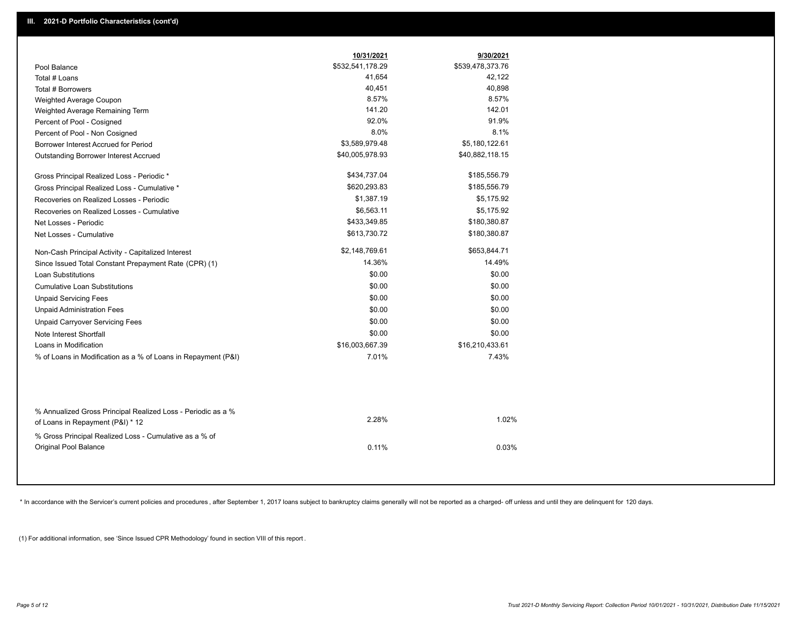|                                                                                                  | 10/31/2021       | 9/30/2021        |
|--------------------------------------------------------------------------------------------------|------------------|------------------|
| Pool Balance                                                                                     | \$532,541,178.29 | \$539,478,373.76 |
| Total # Loans                                                                                    | 41,654           | 42,122           |
| Total # Borrowers                                                                                | 40,451           | 40,898           |
| Weighted Average Coupon                                                                          | 8.57%            | 8.57%            |
| Weighted Average Remaining Term                                                                  | 141.20           | 142.01           |
| Percent of Pool - Cosigned                                                                       | 92.0%            | 91.9%            |
| Percent of Pool - Non Cosigned                                                                   | 8.0%             | 8.1%             |
| Borrower Interest Accrued for Period                                                             | \$3,589,979.48   | \$5,180,122.61   |
| Outstanding Borrower Interest Accrued                                                            | \$40,005,978.93  | \$40,882,118.15  |
| Gross Principal Realized Loss - Periodic *                                                       | \$434,737.04     | \$185,556.79     |
| Gross Principal Realized Loss - Cumulative *                                                     | \$620,293.83     | \$185,556.79     |
| Recoveries on Realized Losses - Periodic                                                         | \$1,387.19       | \$5,175.92       |
| Recoveries on Realized Losses - Cumulative                                                       | \$6,563.11       | \$5,175.92       |
| Net Losses - Periodic                                                                            | \$433,349.85     | \$180,380.87     |
| Net Losses - Cumulative                                                                          | \$613,730.72     | \$180,380.87     |
| Non-Cash Principal Activity - Capitalized Interest                                               | \$2,148,769.61   | \$653,844.71     |
| Since Issued Total Constant Prepayment Rate (CPR) (1)                                            | 14.36%           | 14.49%           |
| <b>Loan Substitutions</b>                                                                        | \$0.00           | \$0.00           |
| <b>Cumulative Loan Substitutions</b>                                                             | \$0.00           | \$0.00           |
| <b>Unpaid Servicing Fees</b>                                                                     | \$0.00           | \$0.00           |
| <b>Unpaid Administration Fees</b>                                                                | \$0.00           | \$0.00           |
| <b>Unpaid Carryover Servicing Fees</b>                                                           | \$0.00           | \$0.00           |
| Note Interest Shortfall                                                                          | \$0.00           | \$0.00           |
| Loans in Modification                                                                            | \$16,003,667.39  | \$16,210,433.61  |
| % of Loans in Modification as a % of Loans in Repayment (P&I)                                    | 7.01%            | 7.43%            |
|                                                                                                  |                  |                  |
| % Annualized Gross Principal Realized Loss - Periodic as a %<br>of Loans in Repayment (P&I) * 12 | 2.28%            | 1.02%            |
| % Gross Principal Realized Loss - Cumulative as a % of                                           |                  |                  |
| <b>Original Pool Balance</b>                                                                     | 0.11%            | 0.03%            |

\* In accordance with the Servicer's current policies and procedures, after September 1, 2017 loans subject to bankruptcy claims generally will not be reported as a charged- off unless and until they are delinquent for 120

(1) For additional information, see 'Since Issued CPR Methodology' found in section VIII of this report .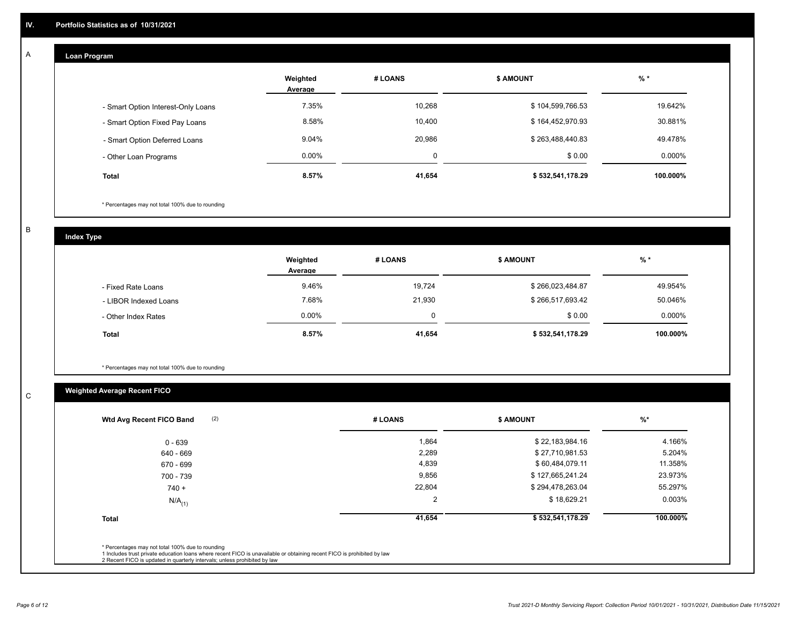## **Loan Program**

A

|                                    | Weighted<br>Average | # LOANS | <b>\$ AMOUNT</b> | $%$ *     |
|------------------------------------|---------------------|---------|------------------|-----------|
| - Smart Option Interest-Only Loans | 7.35%               | 10,268  | \$104,599,766.53 | 19.642%   |
| - Smart Option Fixed Pay Loans     | 8.58%               | 10,400  | \$164,452,970.93 | 30.881%   |
| - Smart Option Deferred Loans      | 9.04%               | 20,986  | \$263,488,440.83 | 49.478%   |
| - Other Loan Programs              | $0.00\%$            | 0       | \$0.00           | $0.000\%$ |
| <b>Total</b>                       | 8.57%               | 41,654  | \$532,541,178.29 | 100.000%  |

\* Percentages may not total 100% due to rounding

B

C

**Index Type**

|                       | Weighted<br>Average | # LOANS | <b>\$ AMOUNT</b> | % *      |
|-----------------------|---------------------|---------|------------------|----------|
| - Fixed Rate Loans    | 9.46%               | 19,724  | \$266,023,484.87 | 49.954%  |
| - LIBOR Indexed Loans | 7.68%               | 21,930  | \$266,517,693.42 | 50.046%  |
| - Other Index Rates   | $0.00\%$            | 0       | \$0.00           | 0.000%   |
| <b>Total</b>          | 8.57%               | 41,654  | \$532,541,178.29 | 100.000% |

\* Percentages may not total 100% due to rounding

## **Weighted Average Recent FICO**

| (2)<br>Wtd Avg Recent FICO Band | # LOANS        | <b>\$ AMOUNT</b> | $%$ *    |
|---------------------------------|----------------|------------------|----------|
| $0 - 639$                       | 1,864          | \$22,183,984.16  | 4.166%   |
| 640 - 669                       | 2,289          | \$27,710,981.53  | 5.204%   |
| 670 - 699                       | 4,839          | \$60,484,079.11  | 11.358%  |
| 700 - 739                       | 9,856          | \$127,665,241.24 | 23.973%  |
| $740 +$                         | 22,804         | \$294,478,263.04 | 55.297%  |
| $N/A$ <sub>(1)</sub>            | $\overline{2}$ | \$18,629.21      | 0.003%   |
| <b>Total</b>                    | 41,654         | \$532,541,178.29 | 100.000% |
|                                 |                |                  |          |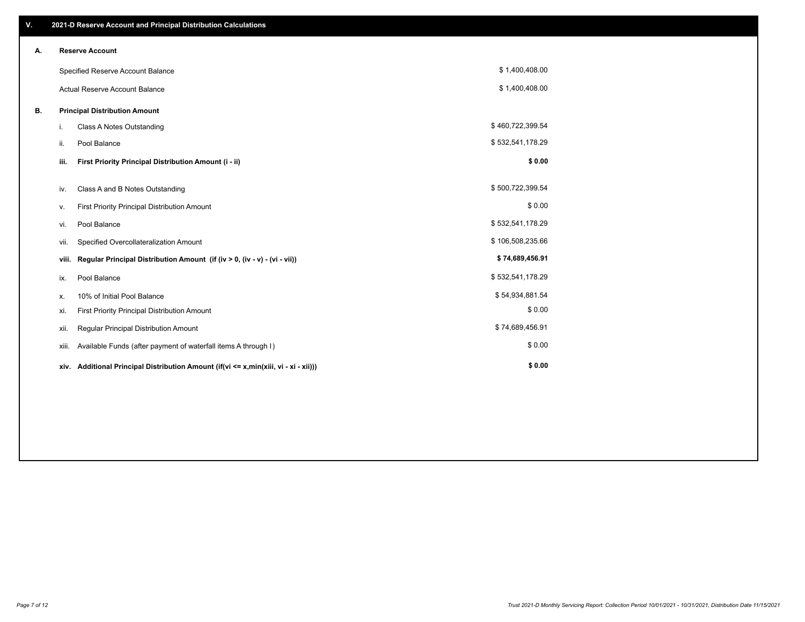| V. |                                      | 2021-D Reserve Account and Principal Distribution Calculations                       |                  |  |
|----|--------------------------------------|--------------------------------------------------------------------------------------|------------------|--|
| Α. |                                      | <b>Reserve Account</b>                                                               |                  |  |
|    |                                      | Specified Reserve Account Balance                                                    | \$1,400,408.00   |  |
|    |                                      | <b>Actual Reserve Account Balance</b>                                                | \$1,400,408.00   |  |
| В. | <b>Principal Distribution Amount</b> |                                                                                      |                  |  |
|    | i.                                   | <b>Class A Notes Outstanding</b>                                                     | \$460,722,399.54 |  |
|    | ii.                                  | Pool Balance                                                                         | \$532,541,178.29 |  |
|    | iii.                                 | First Priority Principal Distribution Amount (i - ii)                                | \$0.00           |  |
|    | iv.                                  | Class A and B Notes Outstanding                                                      | \$500,722,399.54 |  |
|    | ۷.                                   | First Priority Principal Distribution Amount                                         | \$0.00           |  |
|    | vi.                                  | Pool Balance                                                                         | \$532,541,178.29 |  |
|    | vii.                                 | Specified Overcollateralization Amount                                               | \$106,508,235.66 |  |
|    | viii.                                | Regular Principal Distribution Amount (if (iv > 0, (iv - v) - (vi - vii))            | \$74,689,456.91  |  |
|    | ix.                                  | Pool Balance                                                                         | \$532,541,178.29 |  |
|    | х.                                   | 10% of Initial Pool Balance                                                          | \$54,934,881.54  |  |
|    | xi.                                  | First Priority Principal Distribution Amount                                         | \$0.00           |  |
|    | xii.                                 | Regular Principal Distribution Amount                                                | \$74,689,456.91  |  |
|    | xiii.                                | Available Funds (after payment of waterfall items A through I)                       | \$0.00           |  |
|    |                                      | xiv. Additional Principal Distribution Amount (if(vi <= x,min(xiii, vi - xi - xii))) | \$0.00           |  |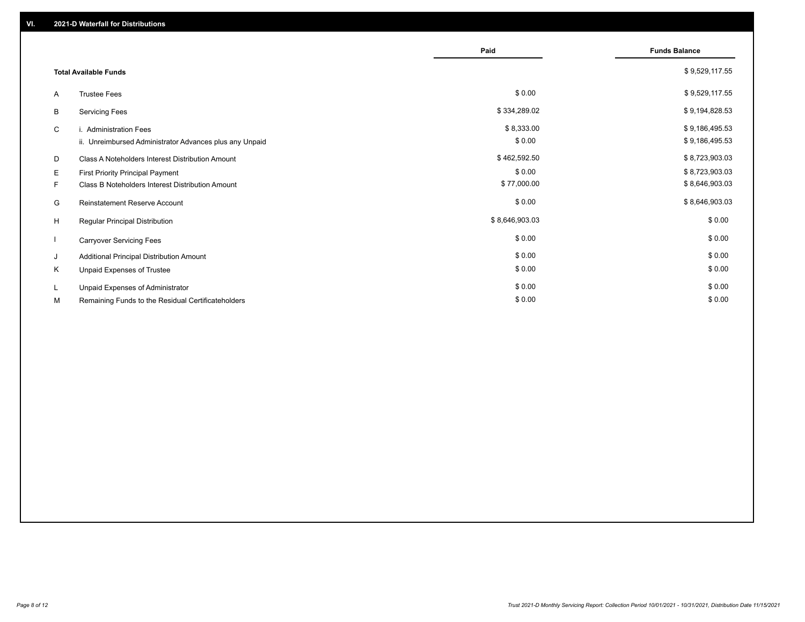|    |                                                         | Paid           | <b>Funds Balance</b> |
|----|---------------------------------------------------------|----------------|----------------------|
|    | <b>Total Available Funds</b>                            |                | \$9,529,117.55       |
| A  | <b>Trustee Fees</b>                                     | \$0.00         | \$9,529,117.55       |
| В  | <b>Servicing Fees</b>                                   | \$334,289.02   | \$9,194,828.53       |
| C  | i. Administration Fees                                  | \$8,333.00     | \$9,186,495.53       |
|    | ii. Unreimbursed Administrator Advances plus any Unpaid | \$0.00         | \$9,186,495.53       |
| D  | Class A Noteholders Interest Distribution Amount        | \$462,592.50   | \$8,723,903.03       |
| E. | First Priority Principal Payment                        | \$0.00         | \$8,723,903.03       |
| F. | Class B Noteholders Interest Distribution Amount        | \$77,000.00    | \$8,646,903.03       |
| G  | <b>Reinstatement Reserve Account</b>                    | \$0.00         | \$8,646,903.03       |
| H  | Regular Principal Distribution                          | \$8,646,903.03 | \$0.00               |
|    | <b>Carryover Servicing Fees</b>                         | \$0.00         | \$0.00               |
| J  | Additional Principal Distribution Amount                | \$0.00         | \$0.00               |
| Κ  | Unpaid Expenses of Trustee                              | \$0.00         | \$0.00               |
| L  | Unpaid Expenses of Administrator                        | \$0.00         | \$0.00               |
| М  | Remaining Funds to the Residual Certificateholders      | \$0.00         | \$0.00               |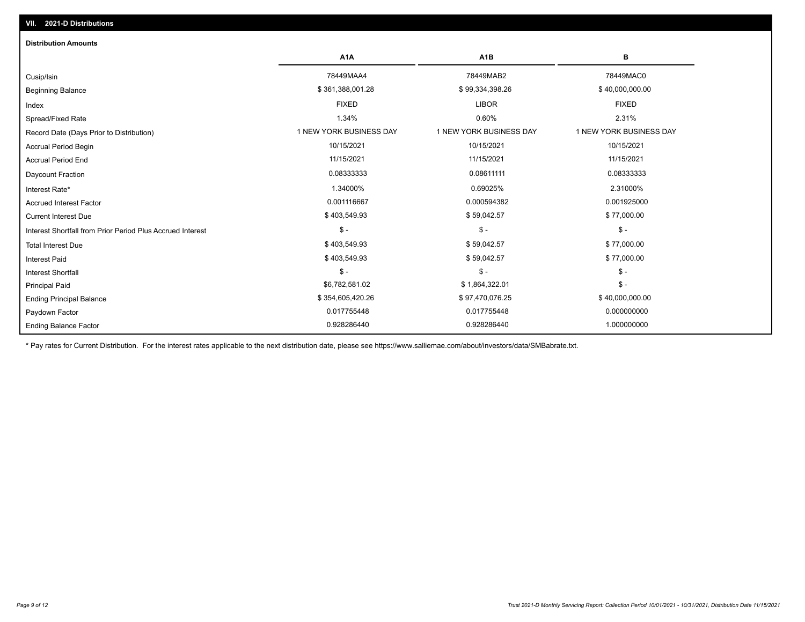| <b>Distribution Amounts</b>                                |                         |                         |                         |
|------------------------------------------------------------|-------------------------|-------------------------|-------------------------|
|                                                            | A <sub>1</sub> A        | A <sub>1</sub> B        | в                       |
| Cusip/Isin                                                 | 78449MAA4               | 78449MAB2               | 78449MAC0               |
| <b>Beginning Balance</b>                                   | \$361,388,001.28        | \$99,334,398.26         | \$40,000,000.00         |
| Index                                                      | <b>FIXED</b>            | <b>LIBOR</b>            | <b>FIXED</b>            |
| Spread/Fixed Rate                                          | 1.34%                   | 0.60%                   | 2.31%                   |
| Record Date (Days Prior to Distribution)                   | 1 NEW YORK BUSINESS DAY | 1 NEW YORK BUSINESS DAY | 1 NEW YORK BUSINESS DAY |
| <b>Accrual Period Begin</b>                                | 10/15/2021              | 10/15/2021              | 10/15/2021              |
| <b>Accrual Period End</b>                                  | 11/15/2021              | 11/15/2021              | 11/15/2021              |
| <b>Daycount Fraction</b>                                   | 0.08333333              | 0.08611111              | 0.08333333              |
| Interest Rate*                                             | 1.34000%                | 0.69025%                | 2.31000%                |
| <b>Accrued Interest Factor</b>                             | 0.001116667             | 0.000594382             | 0.001925000             |
| <b>Current Interest Due</b>                                | \$403,549.93            | \$59,042.57             | \$77,000.00             |
| Interest Shortfall from Prior Period Plus Accrued Interest | $\mathcal{S}$ -         | $\mathcal{S}$ -         | $\mathsf{\$}$ -         |
| <b>Total Interest Due</b>                                  | \$403,549.93            | \$59,042.57             | \$77,000.00             |
| <b>Interest Paid</b>                                       | \$403,549.93            | \$59,042.57             | \$77,000.00             |
| <b>Interest Shortfall</b>                                  | $\mathsf{\$}$ -         | $\mathsf{\$}$ -         | $\mathcal{S}$ -         |
| <b>Principal Paid</b>                                      | \$6,782,581.02          | \$1,864,322.01          | $\mathsf{\$}$ -         |
| <b>Ending Principal Balance</b>                            | \$354,605,420.26        | \$97,470,076.25         | \$40,000,000.00         |
| Paydown Factor                                             | 0.017755448             | 0.017755448             | 0.000000000             |
| <b>Ending Balance Factor</b>                               | 0.928286440             | 0.928286440             | 1.000000000             |

\* Pay rates for Current Distribution. For the interest rates applicable to the next distribution date, please see https://www.salliemae.com/about/investors/data/SMBabrate.txt.

**VII. 2021-D Distributions**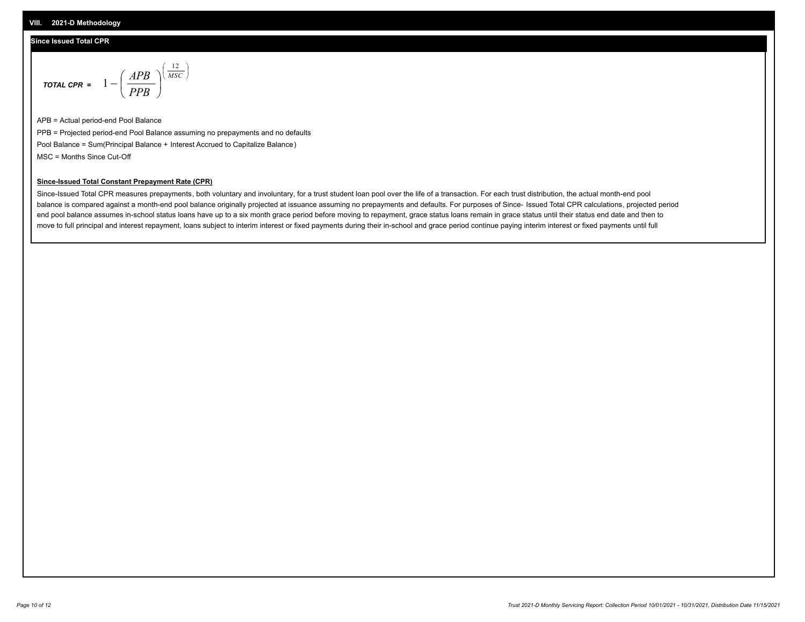#### **Since Issued Total CPR**

$$
\text{total cPR} = 1 - \left(\frac{APB}{PPB}\right)^{\left(\frac{12}{MSC}\right)}
$$

APB = Actual period-end Pool Balance PPB = Projected period-end Pool Balance assuming no prepayments and no defaults Pool Balance = Sum(Principal Balance + Interest Accrued to Capitalize Balance) MSC = Months Since Cut-Off

I J Ι

#### **Since-Issued Total Constant Prepayment Rate (CPR)**

Since-Issued Total CPR measures prepayments, both voluntary and involuntary, for a trust student loan pool over the life of a transaction. For each trust distribution, the actual month-end pool balance is compared against a month-end pool balance originally projected at issuance assuming no prepayments and defaults. For purposes of Since- Issued Total CPR calculations, projected period end pool balance assumes in-school status loans have up to a six month grace period before moving to repayment, grace status loans remain in grace status until their status end date and then to move to full principal and interest repayment, loans subject to interim interest or fixed payments during their in-school and grace period continue paying interim interest or fixed payments until full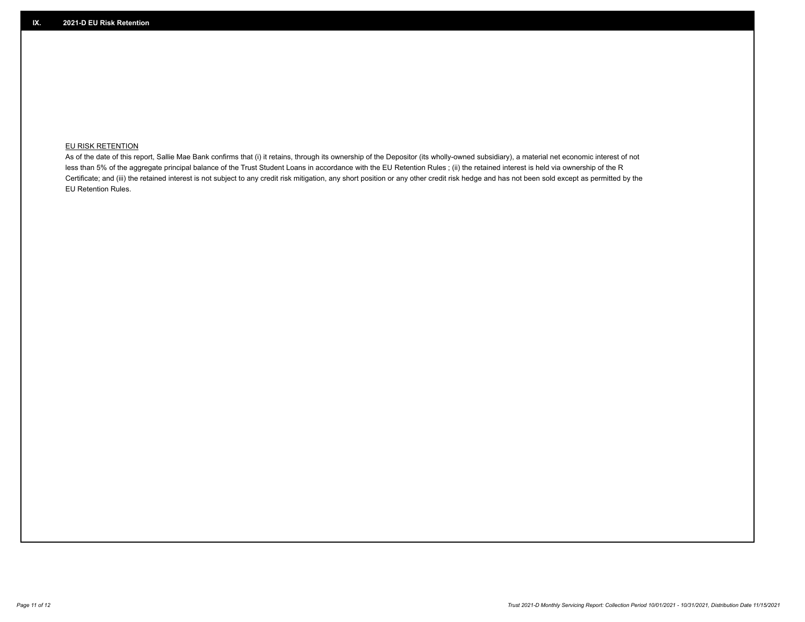## **EU RISK RETENTION**

As of the date of this report, Sallie Mae Bank confirms that (i) it retains, through its ownership of the Depositor (its wholly-owned subsidiary), a material net economic interest of not less than 5% of the aggregate principal balance of the Trust Student Loans in accordance with the EU Retention Rules ; (ii) the retained interest is held via ownership of the R Certificate; and (iii) the retained interest is not subject to any credit risk mitigation, any short position or any other credit risk hedge and has not been sold except as permitted by the EU Retention Rules.